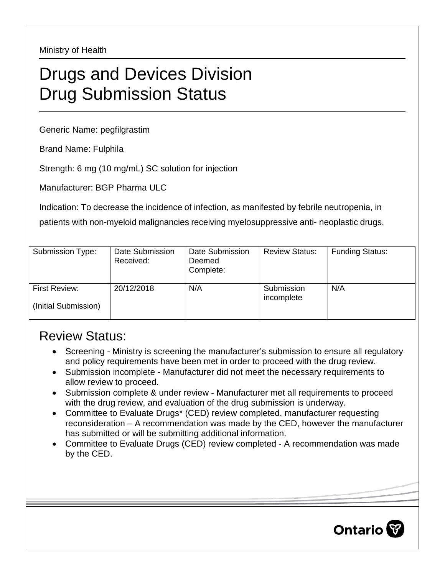Ministry of Health

## Drugs and Devices Division Drug Submission Status

Generic Name: pegfilgrastim

Brand Name: Fulphila

Strength: 6 mg (10 mg/mL) SC solution for injection

Manufacturer: BGP Pharma ULC

Indication: To decrease the incidence of infection, as manifested by febrile neutropenia, in

patients with non-myeloid malignancies receiving myelosuppressive anti- neoplastic drugs.

| Submission Type:                      | Date Submission<br>Received: | Date Submission<br>Deemed<br>Complete: | <b>Review Status:</b>    | <b>Funding Status:</b> |
|---------------------------------------|------------------------------|----------------------------------------|--------------------------|------------------------|
| First Review:<br>(Initial Submission) | 20/12/2018                   | N/A                                    | Submission<br>incomplete | N/A                    |

## Review Status:

- Screening Ministry is screening the manufacturer's submission to ensure all regulatory and policy requirements have been met in order to proceed with the drug review.
- Submission incomplete Manufacturer did not meet the necessary requirements to allow review to proceed.
- Submission complete & under review Manufacturer met all requirements to proceed with the drug review, and evaluation of the drug submission is underway.
- Committee to Evaluate Drugs\* (CED) review completed, manufacturer requesting reconsideration – A recommendation was made by the CED, however the manufacturer has submitted or will be submitting additional information.
- Committee to Evaluate Drugs (CED) review completed A recommendation was made by the CED.